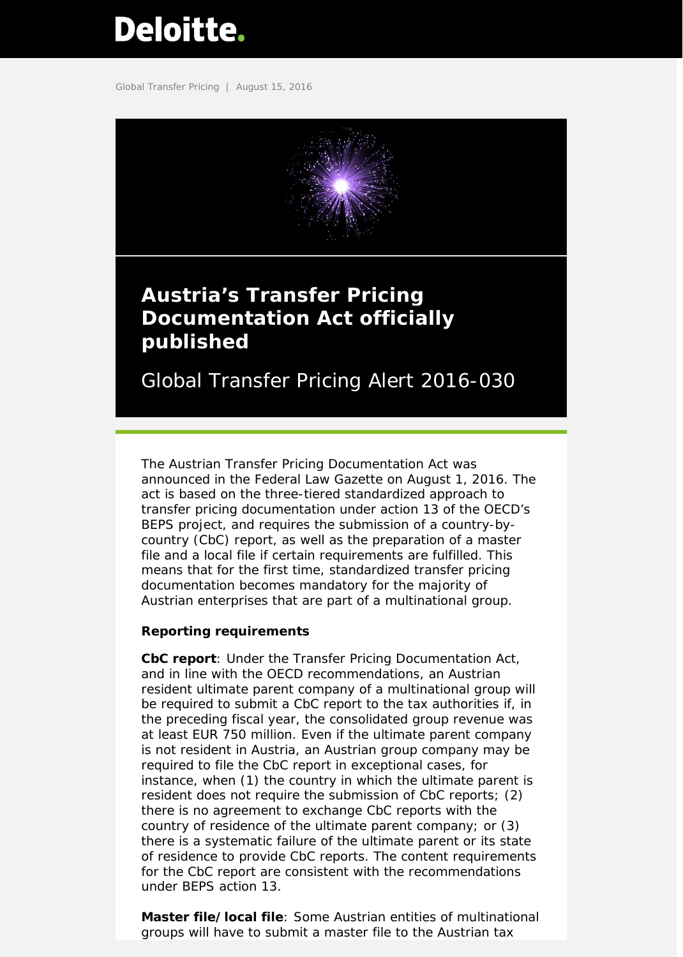# <span id="page-0-0"></span>Deloitte.

Global Transfer Pricing | August 15, 2016



# **Austria's Transfer Pricing Documentation Act officially published**

Global Transfer Pricing Alert 2016-030

The Austrian Transfer Pricing Documentation Act was announced in the Federal Law Gazette on August 1, 2016. The act is based on the three-tiered standardized approach to transfer pricing documentation under action 13 of the OECD's BEPS project, and requires the submission of a country-bycountry (CbC) report, as well as the preparation of a master file and a local file if certain requirements are fulfilled. This means that for the first time, standardized transfer pricing documentation becomes mandatory for the majority of Austrian enterprises that are part of a multinational group.

# **Reporting requirements**

**CbC report**: Under the Transfer Pricing Documentation Act, and in line with the OECD recommendations, an Austrian resident ultimate parent company of a multinational group will be required to submit a CbC report to the tax authorities if, in the preceding fiscal year, the consolidated group revenue was at least EUR 750 million. Even if the ultimate parent company is not resident in Austria, an Austrian group company may be required to file the CbC report in exceptional cases, for instance, when (1) the country in which the ultimate parent is resident does not require the submission of CbC reports; (2) there is no agreement to exchange CbC reports with the country of residence of the ultimate parent company; or (3) there is a systematic failure of the ultimate parent or its state of residence to provide CbC reports. The content requirements for the CbC report are consistent with the recommendations under BEPS action 13.

**Master file/local file**: Some Austrian entities of multinational groups will have to submit a master file to the Austrian tax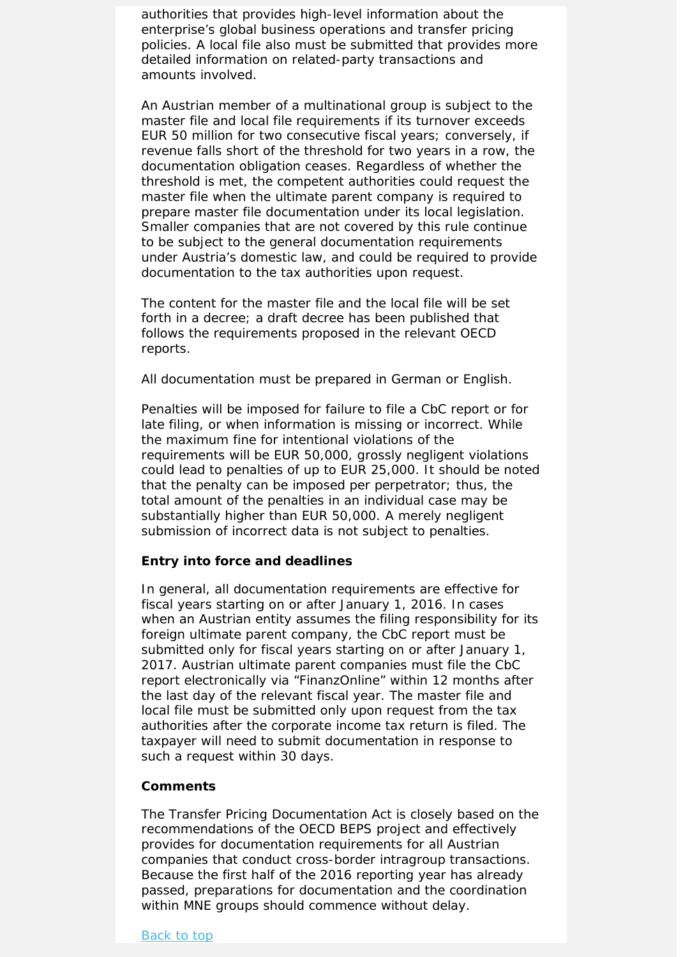authorities that provides high-level information about the enterprise's global business operations and transfer pricing policies. A local file also must be submitted that provides more detailed information on related-party transactions and amounts involved.

An Austrian member of a multinational group is subject to the master file and local file requirements if its turnover exceeds EUR 50 million for two consecutive fiscal years; conversely, if revenue falls short of the threshold for two years in a row, the documentation obligation ceases. Regardless of whether the threshold is met, the competent authorities could request the master file when the ultimate parent company is required to prepare master file documentation under its local legislation. Smaller companies that are not covered by this rule continue to be subject to the general documentation requirements under Austria's domestic law, and could be required to provide documentation to the tax authorities upon request.

The content for the master file and the local file will be set forth in a decree; a draft decree has been published that follows the requirements proposed in the relevant OECD reports.

All documentation must be prepared in German or English.

Penalties will be imposed for failure to file a CbC report or for late filing, or when information is missing or incorrect. While the maximum fine for intentional violations of the requirements will be EUR 50,000, grossly negligent violations could lead to penalties of up to EUR 25,000. It should be noted that the penalty can be imposed per perpetrator; thus, the total amount of the penalties in an individual case may be substantially higher than EUR 50,000. A merely negligent submission of incorrect data is not subject to penalties.

### **Entry into force and deadlines**

In general, all documentation requirements are effective for fiscal years starting on or after January 1, 2016. In cases when an Austrian entity assumes the filing responsibility for its foreign ultimate parent company, the CbC report must be submitted only for fiscal years starting on or after January 1, 2017. Austrian ultimate parent companies must file the CbC report electronically via "FinanzOnline" within 12 months after the last day of the relevant fiscal year. The master file and local file must be submitted only upon request from the tax authorities after the corporate income tax return is filed. The taxpayer will need to submit documentation in response to such a request within 30 days.

#### **Comments**

The Transfer Pricing Documentation Act is closely based on the recommendations of the OECD BEPS project and effectively provides for documentation requirements for all Austrian companies that conduct cross-border intragroup transactions. Because the first half of the 2016 reporting year has already passed, preparations for documentation and the coordination within MNE groups should commence without delay.

#### Back to top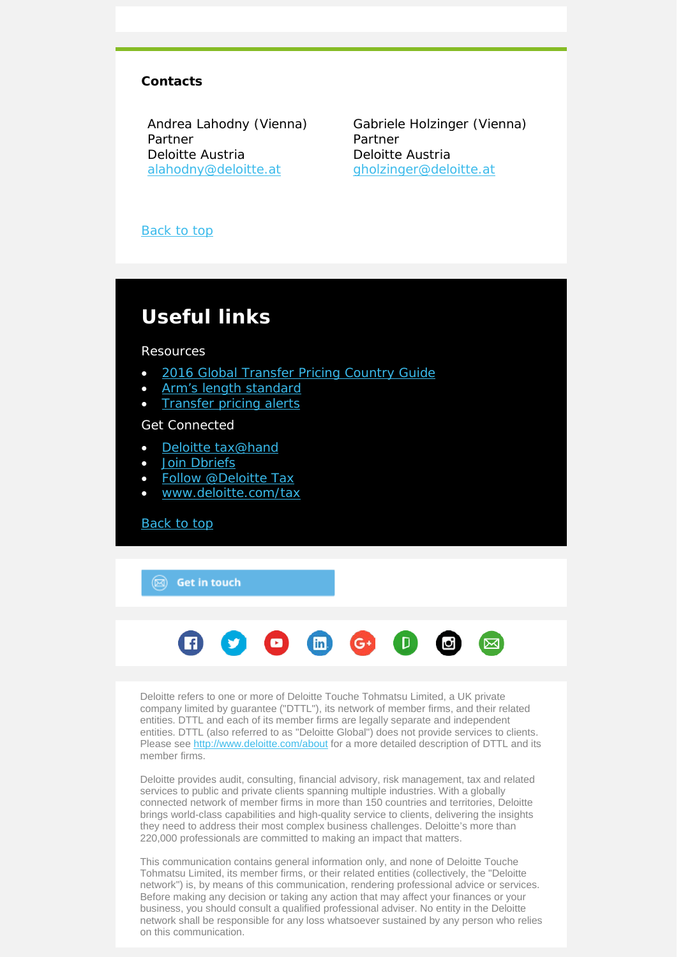## **Contacts**

Andrea Lahodny (Vienna) Partner Deloitte Austria [alahodny@deloitte.at](mailto:alahodny@deloitte.at)

Gabriele Holzinger (Vienna) Partner Deloitte Austria [gholzinger@deloitte.at](mailto:mailtogholzinger@deloitte.at)

## Back to top

 $\circledR$  Get in touch

# **Useful links** Resources [2016 Global Transfer Pricing Country Guide](https://www2.deloitte.com/us/en/pages/tax/articles/global-transfer-pricing-country-guide.html) [Arm's length standard](http://www2.deloitte.com/global/en/pages/tax/articles/arms-length-standard.html) **[Transfer pricing alerts](http://www2.deloitte.com/global/en/pages/tax/articles/global-transfer-pricing-alerts.html)** Get Connected [Deloitte tax@hand](http://www2.deloitte.com/us/en/pages/tax/articles/deloitte-tax-at-hand-mobile-app.html) [Join Dbriefs](https://www2.deloitte.com/global/en/pages/about-deloitte/articles/dbriefs-webcasts.html) **[Follow @Deloitte Tax](http://www.twitter.com/deloittetax)** • [www.deloitte.com/tax](http://www.deloitte.com/tax) [Back to top](#page-0-0)



Deloitte refers to one or more of Deloitte Touche Tohmatsu Limited, a UK private company limited by guarantee ("DTTL"), its network of member firms, and their related entities. DTTL and each of its member firms are legally separate and independent entities. DTTL (also referred to as "Deloitte Global") does not provide services to clients. Please see<http://www.deloitte.com/about> for a more detailed description of DTTL and its member firms.

Deloitte provides audit, consulting, financial advisory, risk management, tax and related services to public and private clients spanning multiple industries. With a globally connected network of member firms in more than 150 countries and territories, Deloitte brings world-class capabilities and high-quality service to clients, delivering the insights they need to address their most complex business challenges. Deloitte's more than 220,000 professionals are committed to making an impact that matters.

This communication contains general information only, and none of Deloitte Touche Tohmatsu Limited, its member firms, or their related entities (collectively, the "Deloitte network") is, by means of this communication, rendering professional advice or services. Before making any decision or taking any action that may affect your finances or your business, you should consult a qualified professional adviser. No entity in the Deloitte network shall be responsible for any loss whatsoever sustained by any person who relies on this communication.